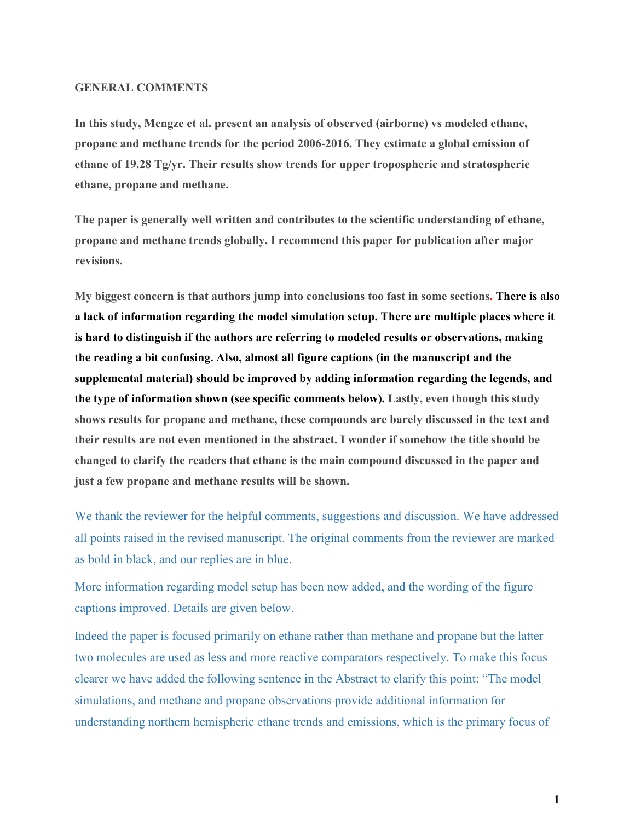#### **GENERAL COMMENTS**

**In this study, Mengze et al. present an analysis of observed (airborne) vs modeled ethane, propane and methane trends for the period 2006-2016. They estimate a global emission of ethane of 19.28 Tg/yr. Their results show trends for upper tropospheric and stratospheric ethane, propane and methane.** 

**The paper is generally well written and contributes to the scientific understanding of ethane, propane and methane trends globally. I recommend this paper for publication after major revisions.**

**My biggest concern is that authors jump into conclusions too fast in some sections. There is also a lack of information regarding the model simulation setup. There are multiple places where it is hard to distinguish if the authors are referring to modeled results or observations, making the reading a bit confusing. Also, almost all figure captions (in the manuscript and the supplemental material) should be improved by adding information regarding the legends, and the type of information shown (see specific comments below). Lastly, even though this study shows results for propane and methane, these compounds are barely discussed in the text and their results are not even mentioned in the abstract. I wonder if somehow the title should be changed to clarify the readers that ethane is the main compound discussed in the paper and just a few propane and methane results will be shown.**

We thank the reviewer for the helpful comments, suggestions and discussion. We have addressed all points raised in the revised manuscript. The original comments from the reviewer are marked as bold in black, and our replies are in blue.

More information regarding model setup has been now added, and the wording of the figure captions improved. Details are given below.

Indeed the paper is focused primarily on ethane rather than methane and propane but the latter two molecules are used as less and more reactive comparators respectively. To make this focus clearer we have added the following sentence in the Abstract to clarify this point: "The model simulations, and methane and propane observations provide additional information for understanding northern hemispheric ethane trends and emissions, which is the primary focus of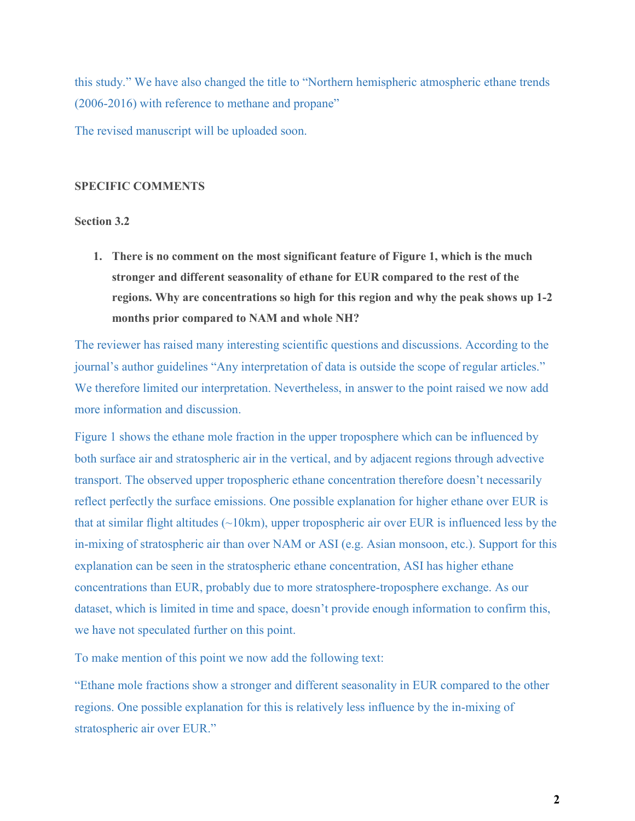this study." We have also changed the title to "Northern hemispheric atmospheric ethane trends (2006-2016) with reference to methane and propane"

The revised manuscript will be uploaded soon.

#### **SPECIFIC COMMENTS**

#### **Section 3.2**

**1. There is no comment on the most significant feature of Figure 1, which is the much stronger and different seasonality of ethane for EUR compared to the rest of the regions. Why are concentrations so high for this region and why the peak shows up 1-2 months prior compared to NAM and whole NH?**

The reviewer has raised many interesting scientific questions and discussions. According to the journal's author guidelines "Any interpretation of data is outside the scope of regular articles." We therefore limited our interpretation. Nevertheless, in answer to the point raised we now add more information and discussion.

Figure 1 shows the ethane mole fraction in the upper troposphere which can be influenced by both surface air and stratospheric air in the vertical, and by adjacent regions through advective transport. The observed upper tropospheric ethane concentration therefore doesn't necessarily reflect perfectly the surface emissions. One possible explanation for higher ethane over EUR is that at similar flight altitudes  $(\sim 10 \text{km})$ , upper tropospheric air over EUR is influenced less by the in-mixing of stratospheric air than over NAM or ASI (e.g. Asian monsoon, etc.). Support for this explanation can be seen in the stratospheric ethane concentration, ASI has higher ethane concentrations than EUR, probably due to more stratosphere-troposphere exchange. As our dataset, which is limited in time and space, doesn't provide enough information to confirm this, we have not speculated further on this point.

To make mention of this point we now add the following text:

"Ethane mole fractions show a stronger and different seasonality in EUR compared to the other regions. One possible explanation for this is relatively less influence by the in-mixing of stratospheric air over EUR."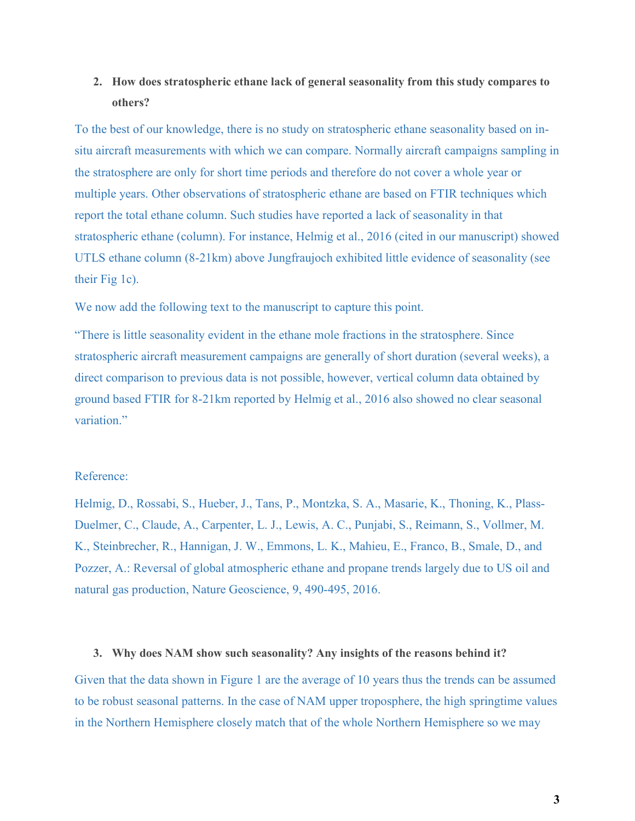# **2. How does stratospheric ethane lack of general seasonality from this study compares to others?**

To the best of our knowledge, there is no study on stratospheric ethane seasonality based on insitu aircraft measurements with which we can compare. Normally aircraft campaigns sampling in the stratosphere are only for short time periods and therefore do not cover a whole year or multiple years. Other observations of stratospheric ethane are based on FTIR techniques which report the total ethane column. Such studies have reported a lack of seasonality in that stratospheric ethane (column). For instance, Helmig et al., 2016 (cited in our manuscript) showed UTLS ethane column (8-21km) above Jungfraujoch exhibited little evidence of seasonality (see their Fig 1c).

We now add the following text to the manuscript to capture this point.

"There is little seasonality evident in the ethane mole fractions in the stratosphere. Since stratospheric aircraft measurement campaigns are generally of short duration (several weeks), a direct comparison to previous data is not possible, however, vertical column data obtained by ground based FTIR for 8-21km reported by Helmig et al., 2016 also showed no clear seasonal variation."

#### Reference:

Helmig, D., Rossabi, S., Hueber, J., Tans, P., Montzka, S. A., Masarie, K., Thoning, K., Plass-Duelmer, C., Claude, A., Carpenter, L. J., Lewis, A. C., Punjabi, S., Reimann, S., Vollmer, M. K., Steinbrecher, R., Hannigan, J. W., Emmons, L. K., Mahieu, E., Franco, B., Smale, D., and Pozzer, A.: Reversal of global atmospheric ethane and propane trends largely due to US oil and natural gas production, Nature Geoscience, 9, 490-495, 2016.

#### **3. Why does NAM show such seasonality? Any insights of the reasons behind it?**

Given that the data shown in Figure 1 are the average of 10 years thus the trends can be assumed to be robust seasonal patterns. In the case of NAM upper troposphere, the high springtime values in the Northern Hemisphere closely match that of the whole Northern Hemisphere so we may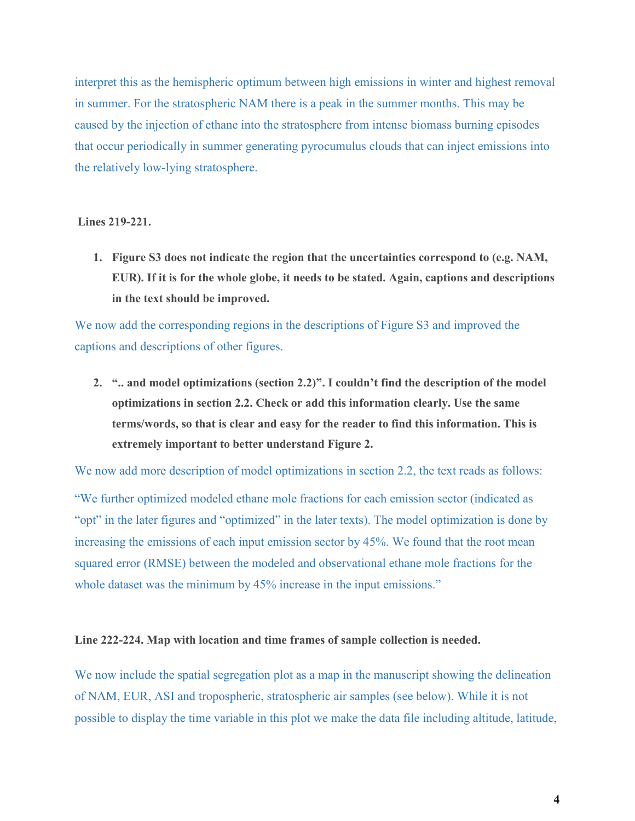interpret this as the hemispheric optimum between high emissions in winter and highest removal in summer. For the stratospheric NAM there is a peak in the summer months. This may be caused by the injection of ethane into the stratosphere from intense biomass burning episodes that occur periodically in summer generating pyrocumulus clouds that can inject emissions into the relatively low-lying stratosphere.

**Lines 219-221.**

**1. Figure S3 does not indicate the region that the uncertainties correspond to (e.g. NAM, EUR). If it is for the whole globe, it needs to be stated. Again, captions and descriptions in the text should be improved.**

We now add the corresponding regions in the descriptions of Figure S3 and improved the captions and descriptions of other figures.

**2. ".. and model optimizations (section 2.2)". I couldn't find the description of the model optimizations in section 2.2. Check or add this information clearly. Use the same terms/words, so that is clear and easy for the reader to find this information. This is extremely important to better understand Figure 2.**

We now add more description of model optimizations in section 2.2, the text reads as follows:

"We further optimized modeled ethane mole fractions for each emission sector (indicated as "opt" in the later figures and "optimized" in the later texts). The model optimization is done by increasing the emissions of each input emission sector by 45%. We found that the root mean squared error (RMSE) between the modeled and observational ethane mole fractions for the whole dataset was the minimum by 45% increase in the input emissions."

#### **Line 222-224. Map with location and time frames of sample collection is needed.**

We now include the spatial segregation plot as a map in the manuscript showing the delineation of NAM, EUR, ASI and tropospheric, stratospheric air samples (see below). While it is not possible to display the time variable in this plot we make the data file including altitude, latitude,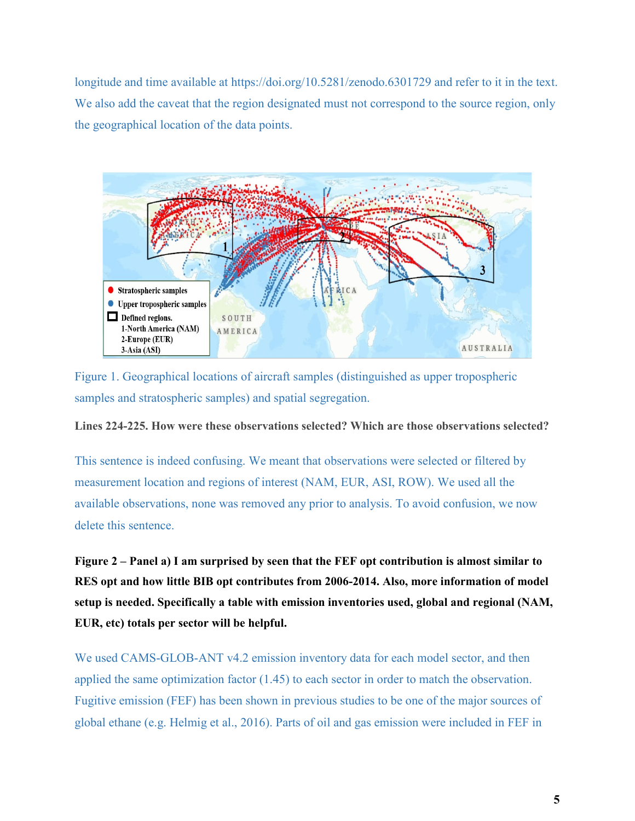longitude and time available at https://doi.org/10.5281/zenodo.6301729 and refer to it in the text. We also add the caveat that the region designated must not correspond to the source region, only the geographical location of the data points.



Figure 1. Geographical locations of aircraft samples (distinguished as upper tropospheric samples and stratospheric samples) and spatial segregation.

**Lines 224-225. How were these observations selected? Which are those observations selected?**

This sentence is indeed confusing. We meant that observations were selected or filtered by measurement location and regions of interest (NAM, EUR, ASI, ROW). We used all the available observations, none was removed any prior to analysis. To avoid confusion, we now delete this sentence.

**Figure 2 – Panel a) I am surprised by seen that the FEF opt contribution is almost similar to RES opt and how little BIB opt contributes from 2006-2014. Also, more information of model setup is needed. Specifically a table with emission inventories used, global and regional (NAM, EUR, etc) totals per sector will be helpful.**

We used CAMS-GLOB-ANT v4.2 emission inventory data for each model sector, and then applied the same optimization factor (1.45) to each sector in order to match the observation. Fugitive emission (FEF) has been shown in previous studies to be one of the major sources of global ethane (e.g. Helmig et al., 2016). Parts of oil and gas emission were included in FEF in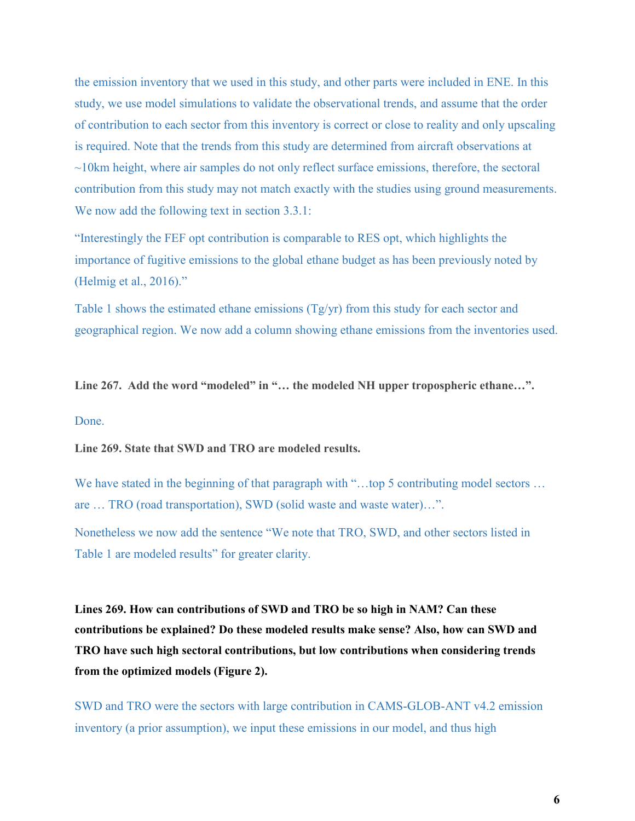the emission inventory that we used in this study, and other parts were included in ENE. In this study, we use model simulations to validate the observational trends, and assume that the order of contribution to each sector from this inventory is correct or close to reality and only upscaling is required. Note that the trends from this study are determined from aircraft observations at  $\sim$ 10km height, where air samples do not only reflect surface emissions, therefore, the sectoral contribution from this study may not match exactly with the studies using ground measurements. We now add the following text in section 3.3.1:

"Interestingly the FEF opt contribution is comparable to RES opt, which highlights the importance of fugitive emissions to the global ethane budget as has been previously noted by (Helmig et al., 2016)."

Table 1 shows the estimated ethane emissions (Tg/yr) from this study for each sector and geographical region. We now add a column showing ethane emissions from the inventories used.

**Line 267. Add the word "modeled" in "… the modeled NH upper tropospheric ethane…".** Done.

**Line 269. State that SWD and TRO are modeled results.**

We have stated in the beginning of that paragraph with "...top 5 contributing model sectors ... are … TRO (road transportation), SWD (solid waste and waste water)…".

Nonetheless we now add the sentence "We note that TRO, SWD, and other sectors listed in Table 1 are modeled results" for greater clarity.

**Lines 269. How can contributions of SWD and TRO be so high in NAM? Can these contributions be explained? Do these modeled results make sense? Also, how can SWD and TRO have such high sectoral contributions, but low contributions when considering trends from the optimized models (Figure 2).**

SWD and TRO were the sectors with large contribution in CAMS-GLOB-ANT v4.2 emission inventory (a prior assumption), we input these emissions in our model, and thus high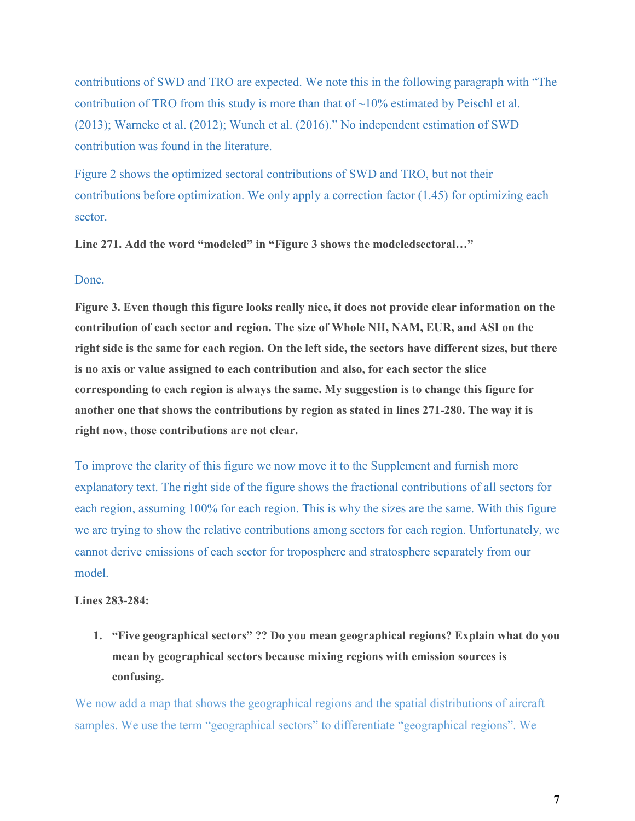contributions of SWD and TRO are expected. We note this in the following paragraph with "The contribution of TRO from this study is more than that of  $\sim$ 10% estimated by Peischl et al. (2013); Warneke et al. (2012); Wunch et al. (2016)." No independent estimation of SWD contribution was found in the literature.

Figure 2 shows the optimized sectoral contributions of SWD and TRO, but not their contributions before optimization. We only apply a correction factor  $(1.45)$  for optimizing each sector.

**Line 271. Add the word "modeled" in "Figure 3 shows the modeledsectoral…"**

### Done.

**Figure 3. Even though this figure looks really nice, it does not provide clear information on the contribution of each sector and region. The size of Whole NH, NAM, EUR, and ASI on the right side is the same for each region. On the left side, the sectors have different sizes, but there is no axis or value assigned to each contribution and also, for each sector the slice corresponding to each region is always the same. My suggestion is to change this figure for another one that shows the contributions by region as stated in lines 271-280. The way it is right now, those contributions are not clear.**

To improve the clarity of this figure we now move it to the Supplement and furnish more explanatory text. The right side of the figure shows the fractional contributions of all sectors for each region, assuming 100% for each region. This is why the sizes are the same. With this figure we are trying to show the relative contributions among sectors for each region. Unfortunately, we cannot derive emissions of each sector for troposphere and stratosphere separately from our model.

### **Lines 283-284:**

**1. "Five geographical sectors" ?? Do you mean geographical regions? Explain what do you mean by geographical sectors because mixing regions with emission sources is confusing.**

We now add a map that shows the geographical regions and the spatial distributions of aircraft samples. We use the term "geographical sectors" to differentiate "geographical regions". We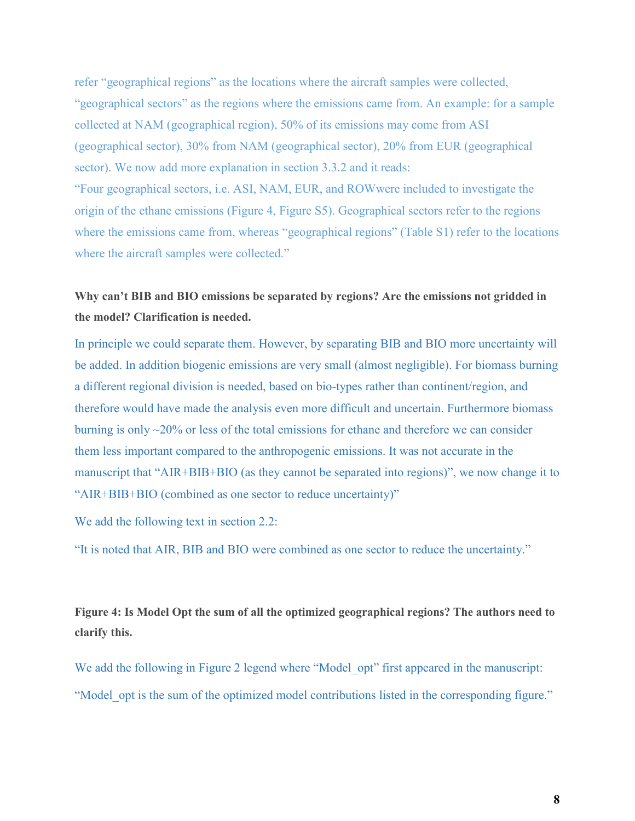refer "geographical regions" as the locations where the aircraft samples were collected, "geographical sectors" as the regions where the emissions came from. An example: for a sample collected at NAM (geographical region), 50% of its emissions may come from ASI (geographical sector), 30% from NAM (geographical sector), 20% from EUR (geographical sector). We now add more explanation in section 3.3.2 and it reads: "Four geographical sectors, i.e. ASI, NAM, EUR, and ROWwere included to investigate the origin of the ethane emissions (Figure 4, Figure S5). Geographical sectors refer to the regions where the emissions came from, whereas "geographical regions" (Table S1) refer to the locations where the aircraft samples were collected."

# **Why can't BIB and BIO emissions be separated by regions? Are the emissions not gridded in the model? Clarification is needed.**

In principle we could separate them. However, by separating BIB and BIO more uncertainty will be added. In addition biogenic emissions are very small (almost negligible). For biomass burning a different regional division is needed, based on bio-types rather than continent/region, and therefore would have made the analysis even more difficult and uncertain. Furthermore biomass burning is only  $\sim$ 20% or less of the total emissions for ethane and therefore we can consider them less important compared to the anthropogenic emissions. It was not accurate in the manuscript that "AIR+BIB+BIO (as they cannot be separated into regions)", we now change it to "AIR+BIB+BIO (combined as one sector to reduce uncertainty)"

We add the following text in section 2.2:

"It is noted that AIR, BIB and BIO were combined as one sector to reduce the uncertainty."

**Figure 4: Is Model Opt the sum of all the optimized geographical regions? The authors need to clarify this.**

We add the following in Figure 2 legend where "Model opt" first appeared in the manuscript: "Model opt is the sum of the optimized model contributions listed in the corresponding figure."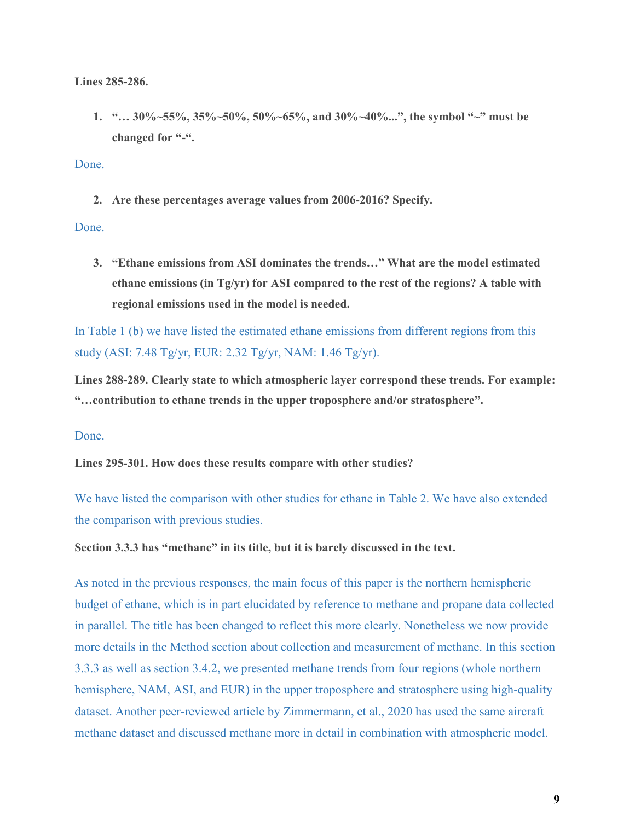**Lines 285-286.**

**1. "… 30%~55%, 35%~50%, 50%~65%, and 30%~40%...", the symbol "~" must be changed for "-".**

Done.

**2. Are these percentages average values from 2006-2016? Specify.**

Done.

**3. "Ethane emissions from ASI dominates the trends…" What are the model estimated ethane emissions (in Tg/yr) for ASI compared to the rest of the regions? A table with regional emissions used in the model is needed.**

In Table 1 (b) we have listed the estimated ethane emissions from different regions from this study (ASI: 7.48 Tg/yr, EUR: 2.32 Tg/yr, NAM: 1.46 Tg/yr).

**Lines 288-289. Clearly state to which atmospheric layer correspond these trends. For example: "…contribution to ethane trends in the upper troposphere and/or stratosphere".**

#### Done.

**Lines 295-301. How does these results compare with other studies?**

We have listed the comparison with other studies for ethane in Table 2. We have also extended the comparison with previous studies.

**Section 3.3.3 has "methane" in its title, but it is barely discussed in the text.**

As noted in the previous responses, the main focus of this paper is the northern hemispheric budget of ethane, which is in part elucidated by reference to methane and propane data collected in parallel. The title has been changed to reflect this more clearly. Nonetheless we now provide more details in the Method section about collection and measurement of methane. In this section 3.3.3 as well as section 3.4.2, we presented methane trends from four regions (whole northern hemisphere, NAM, ASI, and EUR) in the upper troposphere and stratosphere using high-quality dataset. Another peer-reviewed article by Zimmermann, et al., 2020 has used the same aircraft methane dataset and discussed methane more in detail in combination with atmospheric model.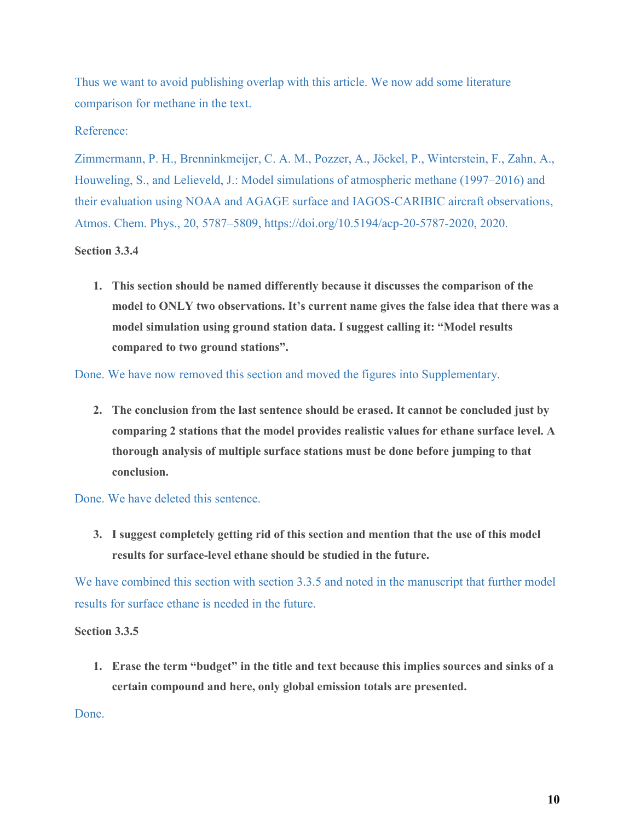Thus we want to avoid publishing overlap with this article. We now add some literature comparison for methane in the text.

# Reference:

Zimmermann, P. H., Brenninkmeijer, C. A. M., Pozzer, A., Jöckel, P., Winterstein, F., Zahn, A., Houweling, S., and Lelieveld, J.: Model simulations of atmospheric methane (1997–2016) and their evaluation using NOAA and AGAGE surface and IAGOS-CARIBIC aircraft observations, Atmos. Chem. Phys., 20, 5787–5809, https://doi.org/10.5194/acp-20-5787-2020, 2020.

### **Section 3.3.4**

**1. This section should be named differently because it discusses the comparison of the model to ONLY two observations. It's current name gives the false idea that there was a model simulation using ground station data. I suggest calling it: "Model results compared to two ground stations".**

Done. We have now removed this section and moved the figures into Supplementary.

**2. The conclusion from the last sentence should be erased. It cannot be concluded just by comparing 2 stations that the model provides realistic values for ethane surface level. A thorough analysis of multiple surface stations must be done before jumping to that conclusion.**

Done. We have deleted this sentence.

**3. I suggest completely getting rid of this section and mention that the use of this model results for surface-level ethane should be studied in the future.**

We have combined this section with section 3.3.5 and noted in the manuscript that further model results for surface ethane is needed in the future.

# **Section 3.3.5**

**1. Erase the term "budget" in the title and text because this implies sources and sinks of a certain compound and here, only global emission totals are presented.**

Done.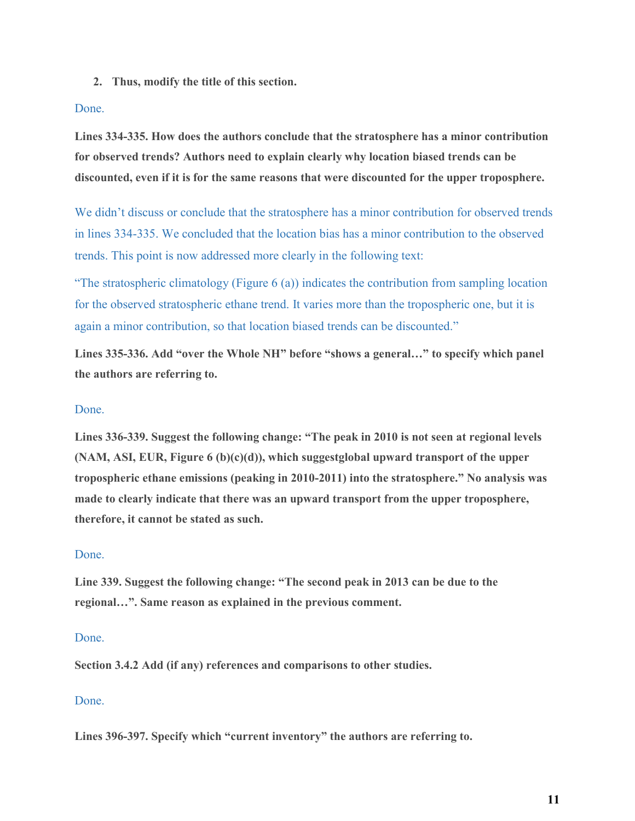**2. Thus, modify the title of this section.**

### Done.

**Lines 334-335. How does the authors conclude that the stratosphere has a minor contribution for observed trends? Authors need to explain clearly why location biased trends can be discounted, even if it is for the same reasons that were discounted for the upper troposphere.**

We didn't discuss or conclude that the stratosphere has a minor contribution for observed trends in lines 334-335. We concluded that the location bias has a minor contribution to the observed trends. This point is now addressed more clearly in the following text:

"The stratospheric climatology (Figure 6 (a)) indicates the contribution from sampling location for the observed stratospheric ethane trend. It varies more than the tropospheric one, but it is again a minor contribution, so that location biased trends can be discounted."

**Lines 335-336. Add "over the Whole NH" before "shows a general…" to specify which panel the authors are referring to.**

# Done.

**Lines 336-339. Suggest the following change: "The peak in 2010 is not seen at regional levels (NAM, ASI, EUR, Figure 6 (b)(c)(d)), which suggestglobal upward transport of the upper tropospheric ethane emissions (peaking in 2010-2011) into the stratosphere." No analysis was made to clearly indicate that there was an upward transport from the upper troposphere, therefore, it cannot be stated as such.**

# Done.

**Line 339. Suggest the following change: "The second peak in 2013 can be due to the regional…". Same reason as explained in the previous comment.**

### Done.

**Section 3.4.2 Add (if any) references and comparisons to other studies.**

# Done.

**Lines 396-397. Specify which "current inventory" the authors are referring to.**